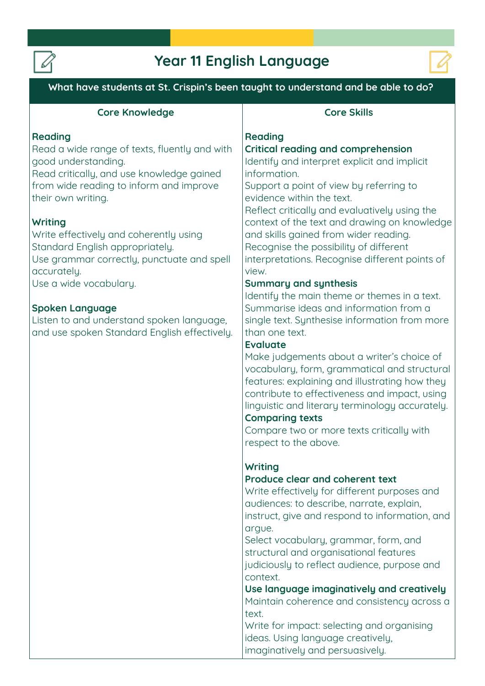

# **Year 11 English Language**



**What have students at St. Crispin's been taught to understand and be able to do?**

| <b>Core Knowledge</b>                         | <b>Core Skills</b>                             |
|-----------------------------------------------|------------------------------------------------|
| Reading                                       | Reading                                        |
| Read a wide range of texts, fluently and with | <b>Critical reading and comprehension</b>      |
| good understanding.                           | Identify and interpret explicit and implicit   |
| Read critically, and use knowledge gained     | information.                                   |
| from wide reading to inform and improve       | Support a point of view by referring to        |
| their own writing.                            | evidence within the text.                      |
|                                               | Reflect critically and evaluatively using the  |
| <b>Writing</b>                                | context of the text and drawing on knowledge   |
| Write effectively and coherently using        | and skills gained from wider reading.          |
| Standard English appropriately.               | Recognise the possibility of different         |
| Use grammar correctly, punctuate and spell    | interpretations. Recognise different points of |
| accurately.                                   | view.                                          |
| Use a wide vocabulary.                        | <b>Summary and synthesis</b>                   |
|                                               | Identify the main theme or themes in a text.   |
| <b>Spoken Language</b>                        | Summarise ideas and information from a         |
| Listen to and understand spoken language,     | single text. Synthesise information from more  |
| and use spoken Standard English effectively.  | than one text.                                 |
|                                               | <b>Evaluate</b>                                |

**Make judgements about a writer's choice of vocabulary, form, grammatical and structural features: explaining and illustrating how they contribute to effectiveness and impact, using linguistic and literary terminology accurately.** 

#### **Comparing texts**

**Compare two or more texts critically with respect to the above.**

### **Writing**

### **Produce clear and coherent text**

**Write effectively for different purposes and audiences: to describe, narrate, explain, instruct, give and respond to information, and argue.**

**Select vocabulary, grammar, form, and structural and organisational features judiciously to reflect audience, purpose and context.**

**Use language imaginatively and creatively Maintain coherence and consistency across a text.**

**Write for impact: selecting and organising ideas. Using language creatively, imaginatively and persuasively.**